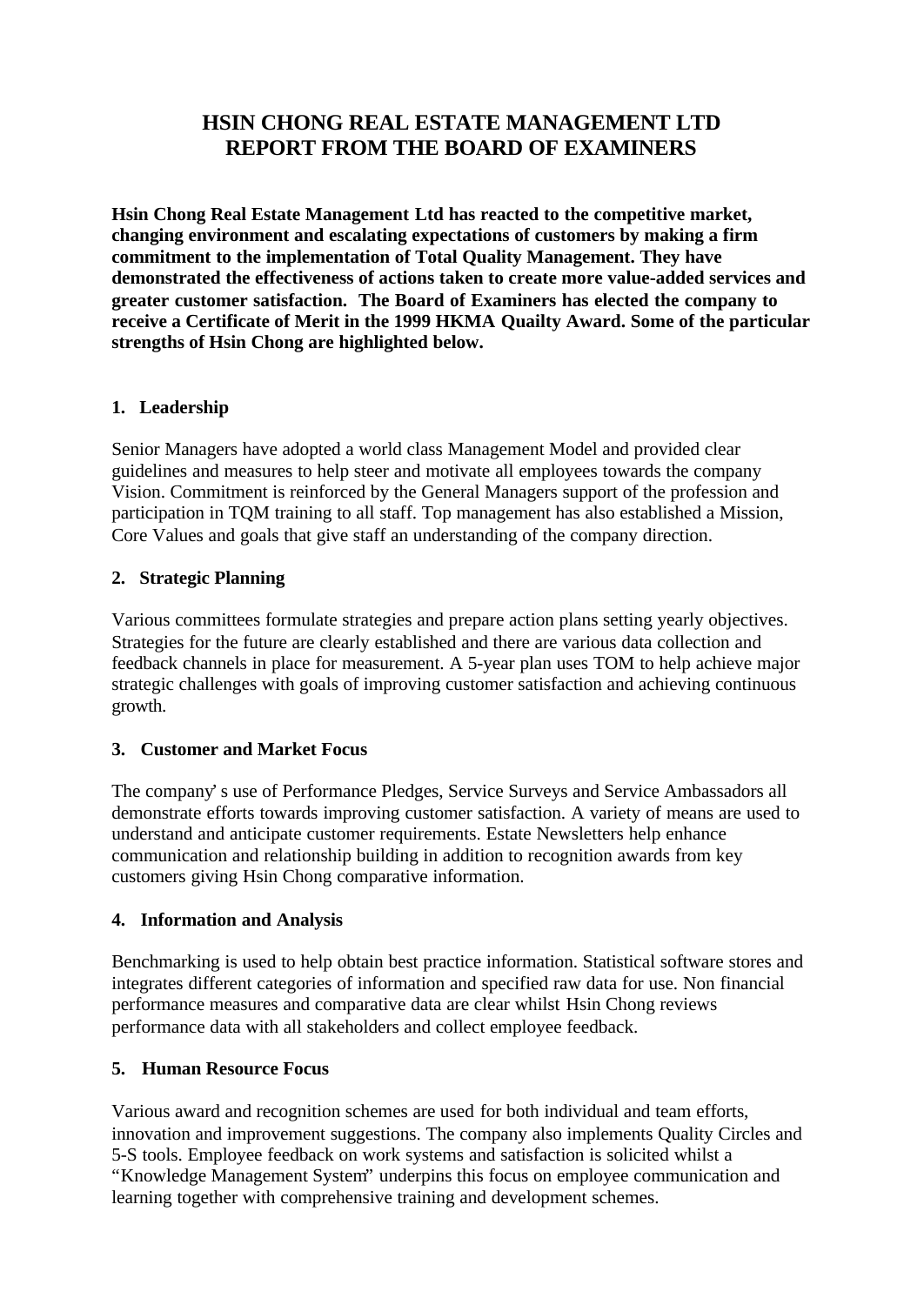# **HSIN CHONG REAL ESTATE MANAGEMENT LTD REPORT FROM THE BOARD OF EXAMINERS**

**Hsin Chong Real Estate Management Ltd has reacted to the competitive market, changing environment and escalating expectations of customers by making a firm commitment to the implementation of Total Quality Management. They have demonstrated the effectiveness of actions taken to create more value-added services and greater customer satisfaction. The Board of Examiners has elected the company to receive a Certificate of Merit in the 1999 HKMA Quailty Award. Some of the particular strengths of Hsin Chong are highlighted below.**

#### **1. Leadership**

Senior Managers have adopted a world class Management Model and provided clear guidelines and measures to help steer and motivate all employees towards the company Vision. Commitment is reinforced by the General Managers support of the profession and participation in TQM training to all staff. Top management has also established a Mission, Core Values and goals that give staff an understanding of the company direction.

#### **2. Strategic Planning**

Various committees formulate strategies and prepare action plans setting yearly objectives. Strategies for the future are clearly established and there are various data collection and feedback channels in place for measurement. A 5-year plan uses TOM to help achieve major strategic challenges with goals of improving customer satisfaction and achieving continuous growth.

#### **3. Customer and Market Focus**

The company's use of Performance Pledges, Service Surveys and Service Ambassadors all demonstrate efforts towards improving customer satisfaction. A variety of means are used to understand and anticipate customer requirements. Estate Newsletters help enhance communication and relationship building in addition to recognition awards from key customers giving Hsin Chong comparative information.

#### **4. Information and Analysis**

Benchmarking is used to help obtain best practice information. Statistical software stores and integrates different categories of information and specified raw data for use. Non financial performance measures and comparative data are clear whilst Hsin Chong reviews performance data with all stakeholders and collect employee feedback.

## **5. Human Resource Focus**

Various award and recognition schemes are used for both individual and team efforts, innovation and improvement suggestions. The company also implements Quality Circles and 5-S tools. Employee feedback on work systems and satisfaction is solicited whilst a "Knowledge Management System" underpins this focus on employee communication and learning together with comprehensive training and development schemes.